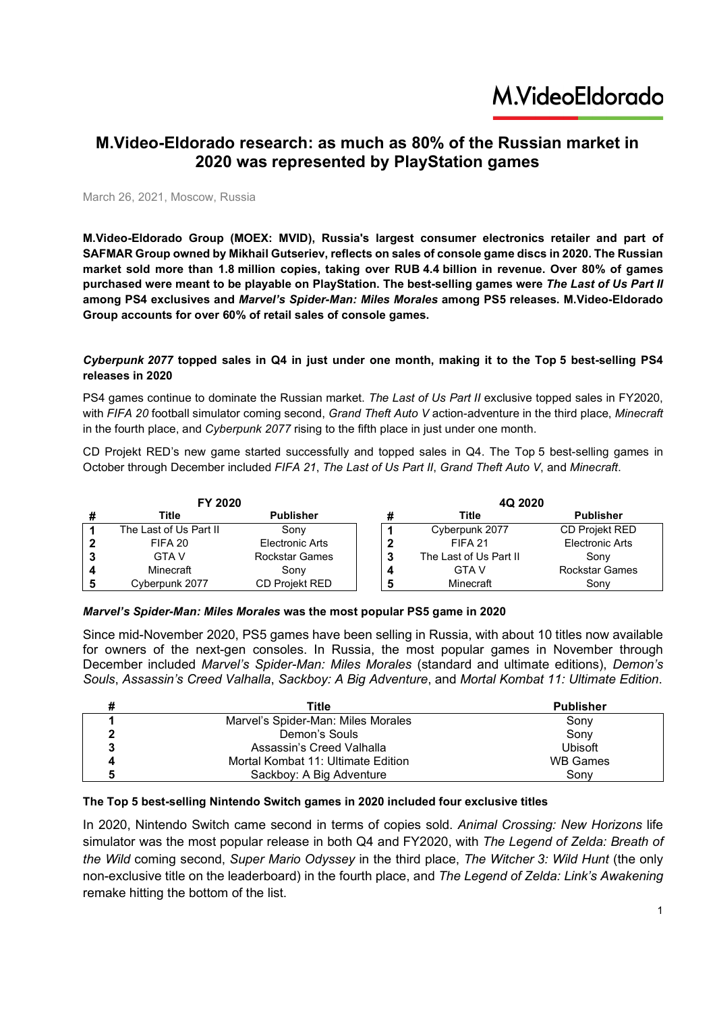### M.VideoEldorado

### **M.Video-Eldorado research: as much as 80% of the Russian market in 2020 was represented by PlayStation games**

March 26, 2021, Moscow, Russia

**M.Video-Eldorado Group (MOEX: MVID), Russia's largest consumer electronics retailer and part of SAFMAR Group owned by Mikhail Gutseriev, reflects on sales of console game discs in 2020. The Russian market sold more than 1.8 million copies, taking over RUB 4.4 billion in revenue. Over 80% of games purchased were meant to be playable on PlayStation. The best-selling games were** *The Last of Us Part II* **among PS4 exclusives and** *Marvel's Spider-Man: Miles Morales* **among PS5 releases. M.Video-Eldorado Group accounts for over 60% of retail sales of console games.** 

#### *Cyberpunk 2077* **topped sales in Q4 in just under one month, making it to the Top 5 best-selling PS4 releases in 2020**

PS4 games continue to dominate the Russian market. *The Last of Us Part II* exclusive topped sales in FY2020, with *FIFA 20* football simulator coming second, *Grand Theft Auto V* action-adventure in the third place, *Minecraft* in the fourth place, and *Cyberpunk 2077* rising to the fifth place in just under one month.

CD Projekt RED's new game started successfully and topped sales in Q4. The Top 5 best-selling games in October through December included *FIFA 21*, *The Last of Us Part II*, *Grand Theft Auto V*, and *Minecraft*.

|   | FY 2020                |                       | 4Q 2020                |                       |
|---|------------------------|-----------------------|------------------------|-----------------------|
|   | Title                  | <b>Publisher</b>      | Title                  | <b>Publisher</b>      |
|   | The Last of Us Part II | Sony                  | Cyberpunk 2077         | <b>CD Projekt RED</b> |
|   | FIFA 20                | Electronic Arts       | FIFA <sub>21</sub>     | Electronic Arts       |
|   | GTA V                  | <b>Rockstar Games</b> | The Last of Us Part II | Sony                  |
| л | Minecraft              | Sony                  | GTA V                  | <b>Rockstar Games</b> |
|   | Cyberpunk 2077         | CD Proiekt RED        | Minecraft              | Sony                  |

#### *Marvel's Spider-Man: Miles Morales* **was the most popular PS5 game in 2020**

Since mid-November 2020, PS5 games have been selling in Russia, with about 10 titles now available for owners of the next-gen consoles. In Russia, the most popular games in November through December included *Marvel's Spider-Man: Miles Morales* (standard and ultimate editions), *Demon's Souls*, *Assassin's Creed Valhalla*, *Sackboy: A Big Adventure*, and *Mortal Kombat 11: Ultimate Edition*.

| Title                              | <b>Publisher</b> |
|------------------------------------|------------------|
| Marvel's Spider-Man: Miles Morales | Sony             |
| Demon's Souls                      | Sony             |
| Assassin's Creed Valhalla          | <b>Ubisoft</b>   |
| Mortal Kombat 11: Ultimate Edition | <b>WB Games</b>  |
| Sackboy: A Big Adventure           | Sonv             |

#### **The Top 5 best-selling Nintendo Switch games in 2020 included four exclusive titles**

In 2020, Nintendo Switch came second in terms of copies sold. *Animal Crossing: New Horizons* life simulator was the most popular release in both Q4 and FY2020, with *The Legend of Zelda: Breath of the Wild* coming second, *Super Mario Odyssey* in the third place, *The Witcher 3: Wild Hunt* (the only non-exclusive title on the leaderboard) in the fourth place, and *The Legend of Zelda: Link's Awakening* remake hitting the bottom of the list.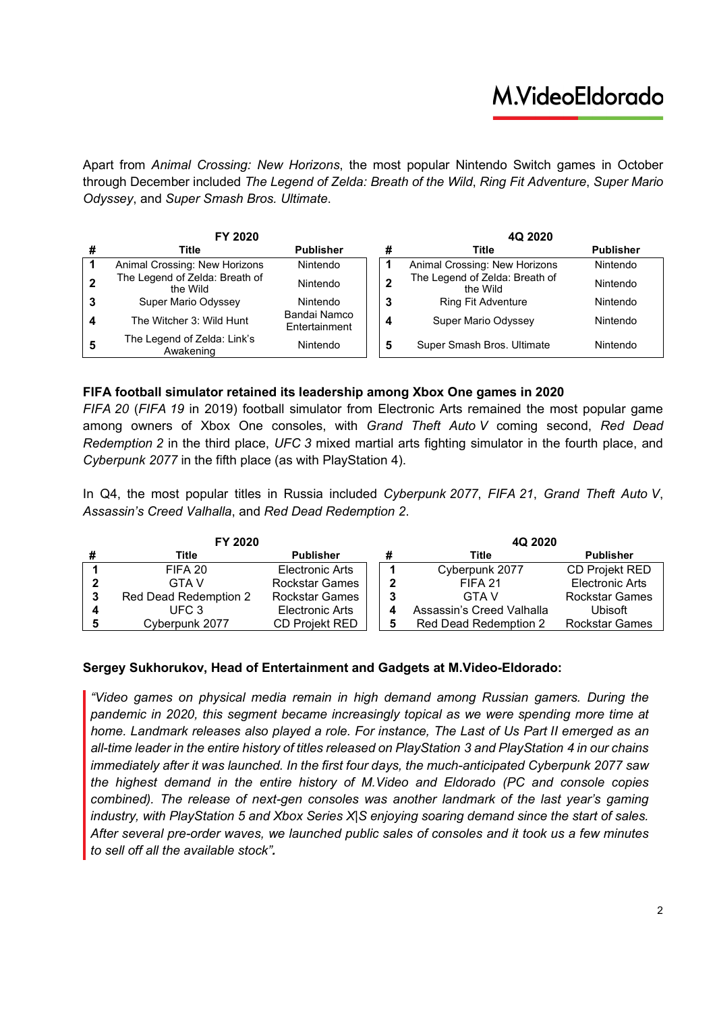# M.VideoEldorado

Apart from *Animal Crossing: New Horizons*, the most popular Nintendo Switch games in October through December included *The Legend of Zelda: Breath of the Wild*, *Ring Fit Adventure*, *Super Mario Odyssey*, and *Super Smash Bros. Ultimate*.

| FY 2020 |                                            |                               |   | 4Q 2020                                    |                  |  |
|---------|--------------------------------------------|-------------------------------|---|--------------------------------------------|------------------|--|
|         | Title                                      | <b>Publisher</b>              |   | Title                                      | <b>Publisher</b> |  |
|         | Animal Crossing: New Horizons              | Nintendo                      |   | Animal Crossing: New Horizons              | Nintendo         |  |
|         | The Legend of Zelda: Breath of<br>the Wild | Nintendo                      |   | The Legend of Zelda: Breath of<br>the Wild | Nintendo         |  |
| 3       | Super Mario Odyssey                        | Nintendo                      | 3 | <b>Ring Fit Adventure</b>                  | Nintendo         |  |
| 4       | The Witcher 3: Wild Hunt                   | Bandai Namco<br>Entertainment | 4 | Super Mario Odyssey                        | Nintendo         |  |
| 5       | The Legend of Zelda: Link's<br>Awakening   | Nintendo                      | 5 | Super Smash Bros. Ultimate                 | Nintendo         |  |

### **FIFA football simulator retained its leadership among Xbox One games in 2020**

*FIFA 20* (*FIFA 19* in 2019) football simulator from Electronic Arts remained the most popular game among owners of Xbox One consoles, with *Grand Theft Auto V* coming second, *Red Dead Redemption 2* in the third place, *UFC 3* mixed martial arts fighting simulator in the fourth place, and *Cyberpunk 2077* in the fifth place (as with PlayStation 4).

In Q4, the most popular titles in Russia included *Cyberpunk 2077*, *FIFA 21*, *Grand Theft Auto V*, *Assassin's Creed Valhalla*, and *Red Dead Redemption 2*.

| FY 2020 |                       |                       | 4Q 2020                   |                       |  |
|---------|-----------------------|-----------------------|---------------------------|-----------------------|--|
|         | Title                 | <b>Publisher</b>      | Title                     | <b>Publisher</b>      |  |
|         | FIFA 20               | Electronic Arts       | Cyberpunk 2077            | CD Projekt RED        |  |
|         | <b>GTA V</b>          | <b>Rockstar Games</b> | FIFA 21                   | Electronic Arts       |  |
|         | Red Dead Redemption 2 | <b>Rockstar Games</b> | <b>GTA V</b>              | Rockstar Games        |  |
|         | UEC.3                 | Electronic Arts       | Assassin's Creed Valhalla | Ubisoft               |  |
|         | Cyberpunk 2077        | <b>CD Projekt RED</b> | Red Dead Redemption 2     | <b>Rockstar Games</b> |  |

#### **Sergey Sukhorukov, Head of Entertainment and Gadgets at M.Video-Eldorado:**

*"Video games on physical media remain in high demand among Russian gamers. During the pandemic in 2020, this segment became increasingly topical as we were spending more time at home. Landmark releases also played a role. For instance, The Last of Us Part II emerged as an all-time leader in the entire history of titles released on PlayStation 3 and PlayStation 4 in our chains immediately after it was launched. In the first four days, the much-anticipated Cyberpunk 2077 saw the highest demand in the entire history of M.Video and Eldorado (PC and console copies combined). The release of next-gen consoles was another landmark of the last year's gaming industry, with PlayStation 5 and Xbox Series X|S enjoying soaring demand since the start of sales. After several pre-order waves, we launched public sales of consoles and it took us a few minutes to sell off all the available stock".*